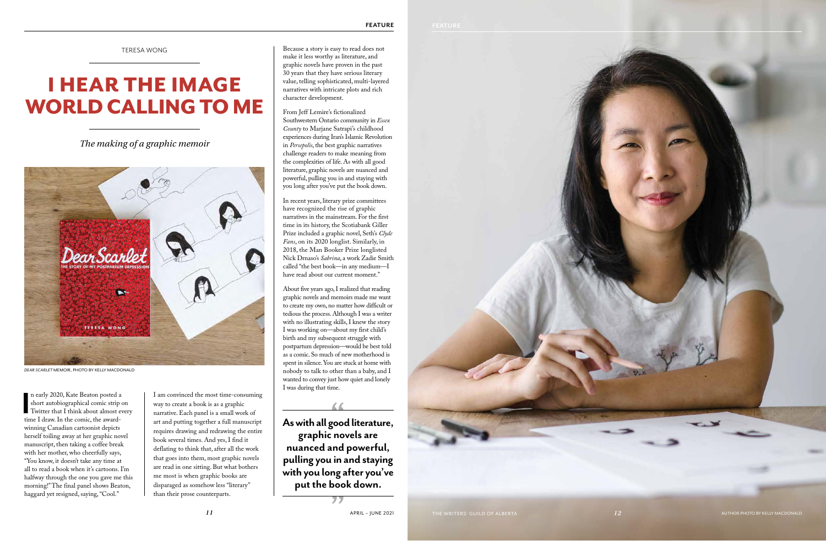TERESA WONG

## I HEAR THE IMAGE WORLD CALLING TO ME

*The making of a graphic memoir*



*DEAR SCARLET* MEMOIR, PHOTO BY KELLY MACDONALD

In early 2020, Kate Beaton posted a short autobiographical comic strip<br>
Twitter that I think about almost e<br>
time I draw. In the comic, the awardn early 2020, Kate Beaton posted a short autobiographical comic strip on Twitter that I think about almost every winning Canadian cartoonist depicts herself toiling away at her graphic novel manuscript, then taking a coffee break with her mother, who cheerfully says, "You know, it doesn't take any time at all to read a book when it's cartoons. I'm halfway through the one you gave me this morning!" The final panel shows Beaton, haggard yet resigned, saying, "Cool."

I am convinced the most time-consuming way to create a book is as a graphic narrative. Each panel is a small work of art and putting together a full manuscript requires drawing and redrawing the entire book several times. And yes, I find it deflating to think that, after all the work that goes into them, most graphic novels are read in one sitting. But what bothers me most is when graphic books are disparaged as somehow less "literary" than their prose counterparts.

Because a story is easy to read does not make it less worthy as literature, and graphic novels have proven in the past 30 years that they have serious literary value, telling sophisticated, multi-layered narratives with intricate plots and rich character development.

From Jeff Lemire's fictionalized Southwestern Ontario community in *Essex County* to Marjane Satrapi's childhood experiences during Iran's Islamic Revolution in *Persepolis*, the best graphic narratives challenge readers to make meaning from the complexities of life. As with all good literature, graphic novels are nuanced and powerful, pulling you in and staying with you long after you've put the book down.

In recent years, literary prize committees have recognized the rise of graphic narratives in the mainstream. For the first time in its history, the Scotiabank Giller Prize included a graphic novel, Seth's *Clyde Fans*, on its 2020 longlist. Similarly, in 2018, the Man Booker Prize longlisted Nick Drnaso's *Sabrina*, a work Zadie Smith called "the best book—in any medium—I have read about our current moment."

About five years ago, I realized that reading graphic novels and memoirs made me want to create my own, no matter how difficult or tedious the process. Although I was a writer with no illustrating skills, I knew the story I was working on—about my first child's birth and my subsequent struggle with postpartum depression—would be best told as a comic. So much of new motherhood is spent in silence. You are stuck at home with nobody to talk to other than a baby, and I wanted to convey just how quiet and lonely I was during that time.

**As with all good literature, graphic novels are nuanced and powerful, pulling you in and staying with you long after you've put the book down.**